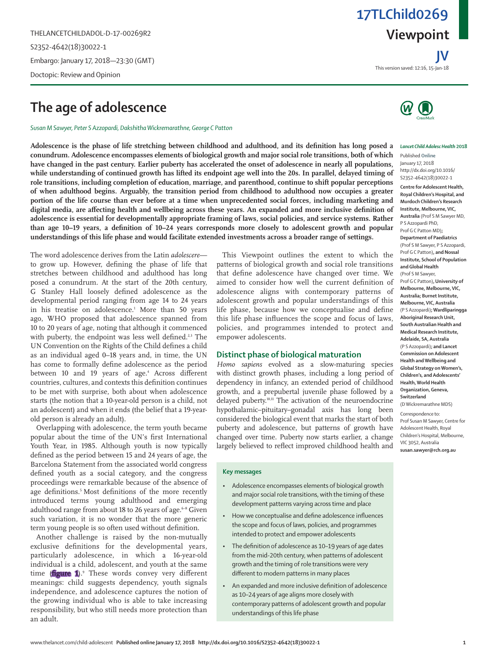THELANCETCHILDADOL-D-17-00269R2 S2352-4642(18)30022-1 Embargo: January 17, 2018—23:30 (GMT) Doctopic: Review and Opinion

# **The age of adolescence**

*Susan M Sawyer, Peter S Azzopardi, Dakshitha Wickremarathne, George C Patton*

**Adolescence is the phase of life stretching between childhood and adulthood, and its definition has long posed a conundrum. Adolescence encompasses elements of biological growth and major social role transitions, both of which have changed in the past century. Earlier puberty has accelerated the onset of adolescence in nearly all populations,**  while understanding of continued growth has lifted its endpoint age well into the 20s. In parallel, delayed timing of **role transitions, including completion of education, marriage, and parenthood, continue to shift popular perceptions of when adulthood begins. Arguably, the transition period from childhood to adulthood now occupies a greater portion of the life course than ever before at a time when unprecedented social forces, including marketing and digital media, are affecting health and wellbeing across these years. An expanded and more inclusive definition of adolescence is essential for developmentally appropriate framing of laws, social policies, and service systems. Rather than age 10–19 years, a definition of 10–24 years corresponds more closely to adolescent growth and popular understandings of this life phase and would facilitate extended investments across a broader range of settings.**

The word adolescence derives from the Latin *adolescere* to grow up. However, defining the phase of life that stretches between childhood and adulthood has long posed a conundrum. At the start of the 20th century, G Stanley Hall loosely defined adolescence as the developmental period ranging from age 14 to 24 years in his treatise on adolescence.1 More than 50 years ago, WHO proposed that adolescence spanned from 10 to 20 years of age, noting that although it commenced with puberty, the endpoint was less well defined.<sup>2,3</sup> The UN Convention on the Rights of the Child defines a child as an individual aged 0–18 years and, in time, the UN has come to formally define adolescence as the period between 10 and 19 years of age.4 Across different countries, cultures, and contexts this definition continues to be met with surprise, both about when adolescence starts (the notion that a 10-year-old person is a child, not an adolescent) and when it ends (the belief that a 19-yearold person is already an adult).

Overlapping with adolescence, the term youth became popular about the time of the UN's first International Youth Year, in 1985. Although youth is now typically defined as the period between 15 and 24 years of age, the Barcelona Statement from the associated world congress defined youth as a social category, and the congress proceedings were remarkable because of the absence of age definitions.<sup>5</sup> Most definitions of the more recently introduced terms young adulthood and emerging adulthood range from about 18 to 26 years of age.<sup>6-8</sup> Given such variation, it is no wonder that the more generic term young people is so often used without definition.

Another challenge is raised by the non-mutually exclusive definitions for the developmental years, particularly adolescence, in which a 16-year-old individual is a child, adolescent, and youth at the same time (**figure 1**).<sup>9</sup> These words convey very different meanings: child suggests dependency, youth signals independence, and adolescence captures the notion of the growing individual who is able to take increasing responsibility, but who still needs more protection than an adult.

This Viewpoint outlines the extent to which the patterns of biological growth and social role transitions that define adolescence have changed over time. We aimed to consider how well the current definition of adolescence aligns with contemporary patterns of adolescent growth and popular understandings of this life phase, because how we conceptualise and define this life phase influences the scope and focus of laws, policies, and programmes intended to protect and empower adolescents.

# **Distinct phase of biological maturation**

*Homo sapiens* evolved as a slow-maturing species with distinct growth phases, including a long period of dependency in infancy, an extended period of childhood growth, and a prepubertal juvenile phase followed by a delayed puberty.<sup>10,11</sup> The activation of the neuroendocrine hypothalamic–pituitary–gonadal axis has long been considered the biological event that marks the start of both puberty and adolescence, but patterns of growth have changed over time. Puberty now starts earlier, a change largely believed to reflect improved childhood health and

### **Key messages**

- Adolescence encompasses elements of biological growth and major social role transitions, with the timing of these development patterns varying across time and place
- How we conceptualise and define adolescence influences the scope and focus of laws, policies, and programmes intended to protect and empower adolescents
- The definition of adolescence as 10–19 years of age dates from the mid-20th century, when patterns of adolescent growth and the timing of role transitions were very different to modern patterns in many places
- An expanded and more inclusive definition of adolescence as 10–24 years of age aligns more closely with contemporary patterns of adolescent growth and popular understandings of this life phase



#### *Lancet Child Adolesc Health* **2018**

Published **Online** January 17, 2018 http://dx.doi.org/10.1016/ S2352-4642(18)30022-1

**Centre for Adolescent Health, Royal Children's Hospital, and Murdoch Children's Research Institute, Melbourne, VIC, Australia** (Prof S M Sawyer MD, P S Azzopardi PhD, Prof G C Patton MD)**; Department of Paediatrics**  (Prof S M Sawyer, P S Azzopardi, Prof G C Patton)**, and Nossal Institute, School of Population and Global Health**  (Prof S M Sawyer, Prof G C Patton)**, University of Melbourne, Melbourne, VIC,** 

**Australia; Burnet Institute, Melbourne, VIC, Australia**  (P S Azzopardi)**; Wardliparingga Aboriginal Research Unit, South Australian Health and Medical Research Institute, Adelaide, SA, Australia**  (P S Azzopardi)**; and Lancet Commission on Adolescent Health and Wellbeing and Global Strategy on Women's, Children's, and Adolescents' Health, World Health Organization, Geneva, Switzerland**  (D Wickremarathne MDS)

Correspondence to: Prof Susan M Sawyer, Centre for Adolescent Health, Royal Children's Hospital, Melbourne, VIC 3052, Australia **susan.sawyer@rch.org.au**

# **Viewpoint 17TLChild0269**

This version saved: 12:16, 15-Jan-18 **JV**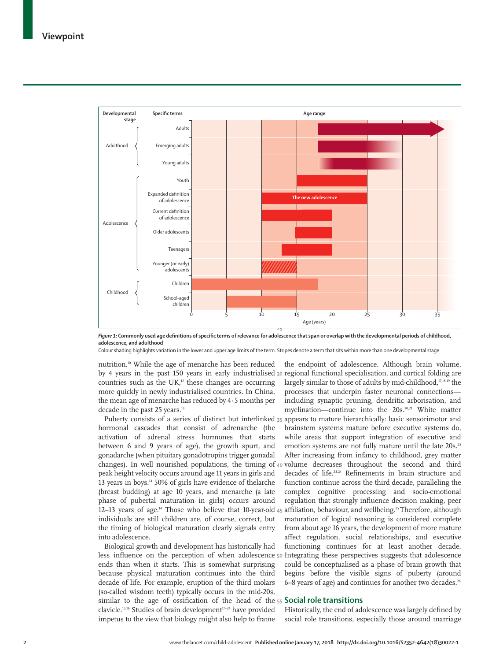

*Figure 1:* **Commonly used age definitions of specific terms of relevance for adolescence that span or overlap with the developmental periods of childhood, adolescence, and adulthood**

Colour shading highlights variation in the lower and upper age limits of the term. Stripes denote a term that sits within more than one developmental stage.

nutrition.10 While the age of menarche has been reduced countries such as the  $UK<sub>1</sub><sup>12</sup>$  these changes are occurring more quickly in newly industrialised countries. In China, the mean age of menarche has reduced by 4·5 months per decade in the past 25 years.<sup>13</sup>

changes). In well nourished populations, the timing of 40 volume decreases throughout the second and third 12–13 years of age.<sup>14</sup> Those who believe that 10-year-old 45 affiliation, behaviour, and wellbeing.<sup>25</sup>Therefore, although hormonal cascades that consist of adrenarche (the activation of adrenal stress hormones that starts between 6 and 9 years of age), the growth spurt, and gonadarche (when pituitary gonadotropins trigger gonadal peak height velocity occurs around age 11 years in girls and 13 years in boys.14 50% of girls have evidence of thelarche (breast budding) at age 10 years, and menarche (a late phase of pubertal maturation in girls) occurs around individuals are still children are, of course, correct, but the timing of biological maturation clearly signals entry into adolescence.

similar to the age of ossification of the head of the 55 **Social role transitions** Biological growth and development has historically had ends than when it starts. This is somewhat surprising because physical maturation continues into the third decade of life. For example, eruption of the third molars (so-called wisdom teeth) typically occurs in the mid-20s, clavicle.<sup>15,16</sup> Studies of brain development<sup>17-24</sup> have provided impetus to the view that biology might also help to frame

by 4 years in the past 150 years in early industrialised 30 regional functional specialisation, and cortical folding are Puberty consists of a series of distinct but interlinked 35 appears to mature hierarchically: basic sensorimotor and less influence on the perception of when adolescence <sub>50</sub> Integrating these perspectives suggests that adolescence the endpoint of adolescence. Although brain volume, largely similar to those of adults by mid-childhood,<sup>17,18,19</sup> the processes that underpin faster neuronal connections including synaptic pruning, dendritic arborisation, and myelination—continue into the 20s.20,21 White matter brainstem systems mature before executive systems do, while areas that support integration of executive and emotion systems are not fully mature until the late 20s.<sup>22</sup> After increasing from infancy to childhood, grey matter decades of life.<sup>23,24</sup> Refinements in brain structure and function continue across the third decade, paralleling the complex cognitive processing and socio-emotional regulation that strongly influence decision making, peer maturation of logical reasoning is considered complete from about age 16 years, the development of more mature affect regulation, social relationships, and executive functioning continues for at least another decade. could be conceptualised as a phase of brain growth that begins before the visible signs of puberty (around 6–8 years of age) and continues for another two decades.26

Historically, the end of adolescence was largely defined by social role transitions, especially those around marriage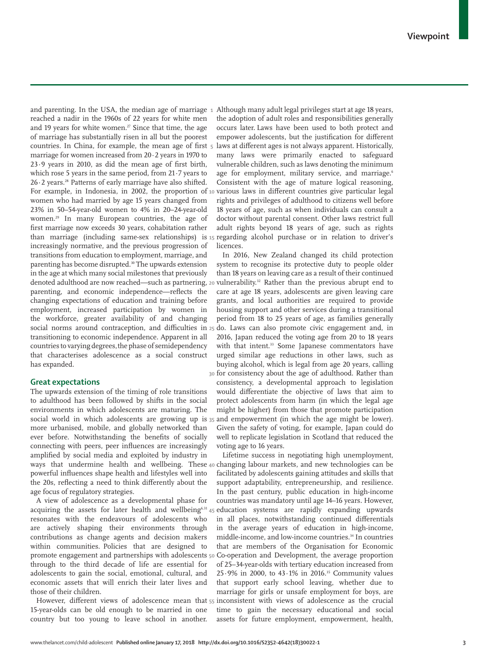**1** and parenting. In the USA, the median age of marriage **10** For example, in Indonesia, in 2002, the proportion of **15** than marriage (including same-sex relationships) is **20** denoted adulthood are now reached—such as partnering, reached a nadir in the 1960s of 22 years for white men and 19 years for white women.<sup>27</sup> Since that time, the age of marriage has substantially risen in all but the poorest countries. In China, for example, the mean age of first marriage for women increased from 20·2 years in 1970 to 23·9 years in 2010, as did the mean age of first birth, which rose 5 years in the same period, from 21·7 years to  $26·2$  years.<sup>28</sup> Patterns of early marriage have also shifted. women who had married by age 15 years changed from 23% in 50–54-year-old women to 4% in 20–24-year-old women.<sup>29</sup> In many European countries, the age of first marriage now exceeds 30 years, cohabitation rather increasingly normative, and the previous progression of transitions from education to employment, marriage, and parenting has become disrupted.30 The upwards extension in the age at which many social milestones that previously parenting, and economic independence—reflects the changing expectations of education and training before employment, increased participation by women in the workforce, greater availability of and changing transitioning to economic independence. Apparent in all countries to varying degrees,the phase of semidependency that characterises adolescence as a social construct has expanded.

## **Great expectations**

The upwards extension of the timing of role transitions to adulthood has been followed by shifts in the social environments in which adolescents are maturing. The more urbanised, mobile, and globally networked than ever before. Notwithstanding the benefits of socially connecting with peers, peer influences are increasingly amplified by social media and exploited by industry in powerful influences shape health and lifestyles well into the 20s, reflecting a need to think differently about the age focus of regulatory strategies.

acquiring the assets for later health and wellbeing<sup>6,31</sup>45 promote engagement and partnerships with adolescents 50 A view of adolescence as a developmental phase for resonates with the endeavours of adolescents who are actively shaping their environments through contributions as change agents and decision makers within communities. Policies that are designed to through to the third decade of life are essential for adolescents to gain the social, emotional, cultural, and economic assets that will enrich their later lives and those of their children.

15-year-olds can be old enough to be married in one country but too young to leave school in another.

Although many adult legal privileges start at age 18 years, the adoption of adult roles and responsibilities generally occurs later. Laws have been used to both protect and empower adolescents, but the justification for different laws at different ages is not always apparent. Historically, many laws were primarily enacted to safeguard vulnerable children, such as laws denoting the minimum age for employment, military service, and marriage.<sup>6</sup> Consistent with the age of mature logical reasoning, various laws in different countries give particular legal rights and privileges of adulthood to citizens well before 18 years of age, such as when individuals can consult a doctor without parental consent. Other laws restrict full adult rights beyond 18 years of age, such as rights regarding alcohol purchase or in relation to driver's licences.

**5**

social norms around contraception, and difficulties in 25 do. Laws can also promote civic engagement and, in **30** for consistency about the age of adulthood. Rather than social world in which adolescents are growing up is  $35$  and empowerment (in which the age might be lower). In 2016, New Zealand changed its child protection system to recognise its protective duty to people older than 18 years on leaving care as a result of their continued vulnerability.32 Rather than the previous abrupt end to care at age 18 years, adolescents are given leaving care grants, and local authorities are required to provide housing support and other services during a transitional period from 18 to 25 years of age, as families generally 2016, Japan reduced the voting age from 20 to 18 years with that intent.<sup>33</sup> Some Japanese commentators have urged similar age reductions in other laws, such as buying alcohol, which is legal from age 20 years, calling consistency, a developmental approach to legislation would differentiate the objective of laws that aim to protect adolescents from harm (in which the legal age might be higher) from those that promote participation Given the safety of voting, for example, Japan could do well to replicate legislation in Scotland that reduced the voting age to 16 years.

ways that undermine health and wellbeing. These 40 changing labour markets, and new technologies can be However, different views of adolescence mean that  $_{55}$  inconsistent with views of adolescence as the crucial Lifetime success in negotiating high unemployment, facilitated by adolescents gaining attitudes and skills that support adaptability, entrepreneurship, and resilience. In the past century, public education in high-income countries was mandatory until age 14–16 years. However, education systems are rapidly expanding upwards in all places, notwithstanding continued differentials in the average years of education in high-income, middle-income, and low-income countries.<sup>34</sup> In countries that are members of the Organisation for Economic Co-operation and Development, the average proportion of 25–34-year-olds with tertiary education increased from 25·9% in 2000, to 43·1% in 2016.35 Community values that support early school leaving, whether due to marriage for girls or unsafe employment for boys, are time to gain the necessary educational and social assets for future employment, empowerment, health,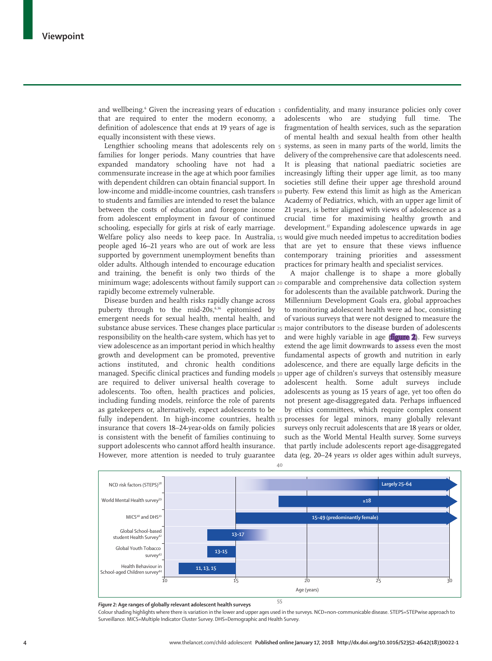that are required to enter the modern economy, a definition of adolescence that ends at 19 years of age is equally inconsistent with these views.

**5** Lengthier schooling means that adolescents rely on **10** low-income and middle-income countries, cash transfers puberty. Few extend this limit as high as the American Welfare policy also needs to keep pace. In Australia, 15 would give much needed impetus to accreditation bodies minimum wage; adolescents without family support can 20 comparable and comprehensive data collection system families for longer periods. Many countries that have expanded mandatory schooling have not had a commensurate increase in the age at which poor families with dependent children can obtain financial support. In to students and families are intended to reset the balance between the costs of education and foregone income from adolescent employment in favour of continued schooling, especially for girls at risk of early marriage. people aged 16–21 years who are out of work are less supported by government unemployment benefits than older adults. Although intended to encourage education and training, the benefit is only two thirds of the rapidly become extremely vulnerable.

Disease burden and health risks rapidly change across puberty through to the mid-20s,<sup>6,36</sup> epitomised by emergent needs for sexual health, mental health, and responsibility on the health-care system, which has yet to view adolescence as an important period in which healthy growth and development can be promoted, preventive actions instituted, and chronic health conditions are required to deliver universal health coverage to adolescents. Too often, health practices and policies, including funding models, reinforce the role of parents as gatekeepers or, alternatively, expect adolescents to be insurance that covers 18–24-year-olds on family policies is consistent with the benefit of families continuing to support adolescents who cannot afford health insurance. However, more attention is needed to truly guarantee

and wellbeing.<sup>6</sup> Given the increasing years of education 1 confidentiality, and many insurance policies only cover adolescents who are studying full time. The fragmentation of health services, such as the separation of mental health and sexual health from other health systems, as seen in many parts of the world, limits the delivery of the comprehensive care that adolescents need. It is pleasing that national paediatric societies are increasingly lifting their upper age limit, as too many societies still define their upper age threshold around Academy of Pediatrics, which, with an upper age limit of 21 years, is better aligned with views of adolescence as a crucial time for maximising healthy growth and development.<sup>37</sup> Expanding adolescence upwards in age that are yet to ensure that these views influence contemporary training priorities and assessment practices for primary health and specialist services.

**25** substance abuse services. These changes place particular major contributors to the disease burden of adolescents managed. Specific clinical practices and funding models 30 upper age of children's surveys that ostensibly measure fully independent. In high-income countries, health 35 processes for legal minors, many globally relevant A major challenge is to shape a more globally for adolescents than the available patchwork. During the Millennium Development Goals era, global approaches to monitoring adolescent health were ad hoc, consisting of various surveys that were not designed to measure the and were highly variable in age (figure 2). Few surveys extend the age limit downwards to assess even the most fundamental aspects of growth and nutrition in early adolescence, and there are equally large deficits in the adolescent health. Some adult surveys include adolescents as young as 15 years of age, yet too often do not present age-disaggregated data. Perhaps influenced by ethics committees, which require complex consent surveys only recruit adolescents that are 18 years or older, such as the World Mental Health survey. Some surveys that partly include adolescents report age-disaggregated data (eg, 20–24 years *vs* older ages within adult surveys,



*Figure 2:* **Age ranges of globally relevant adolescent health surveys**

Colour shading highlights where there is variation in the lower and upper ages used in the surveys. NCD=non-communicable disease. STEPS=STEPwise approach to Surveillance. MICS=Multiple Indicator Cluster Survey. DHS=Demographic and Health Survey.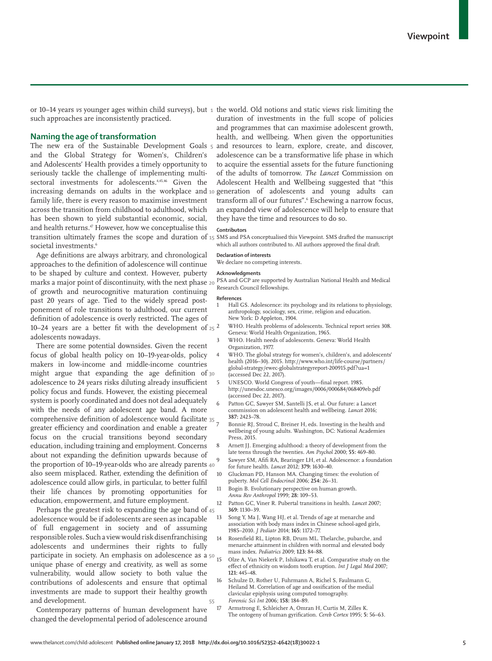**1** or 10–14 years *vs* younger ages within child surveys), but the world. Old notions and static views risk limiting the such approaches are inconsistently practiced.

# **Naming the age of transformation**

**5** transition ultimately frames the scope and duration of 15 SMS and PSA conceptualised this Viewpoint. SMS drafted the manuscript The new era of the Sustainable Development Goals and the Global Strategy for Women's, Children's and Adolescents' Health provides a timely opportunity to seriously tackle the challenge of implementing multisectoral investments for adolescents.<sup>4,45,46</sup> Given the family life, there is every reason to maximise investment across the transition from childhood to adulthood, which has been shown to yield substantial economic, social, and health returns.<sup>47</sup> However, how we conceptualise this societal investments.<sup>6</sup>

**20** marks a major point of discontinuity, with the next phase **25** 10–24 years are a better fit with the development of Age definitions are always arbitrary, and chronological approaches to the definition of adolescence will continue to be shaped by culture and context. However, puberty of growth and neurocognitive maturation continuing past 20 years of age. Tied to the widely spread postponement of role transitions to adulthood, our current definition of adolescence is overly restricted. The ages of adolescents nowadays.

**30** might argue that expanding the age definition of **35** comprehensive definition of adolescence would facilitate the proportion of 10–19-year-olds who are already parents 40 There are some potential downsides. Given the recent focus of global health policy on 10–19-year-olds, policy makers in low-income and middle-income countries adolescence to 24 years risks diluting already insufficient policy focus and funds. However, the existing piecemeal system is poorly coordinated and does not deal adequately with the needs of any adolescent age band. A more greater efficiency and coordination and enable a greater focus on the crucial transitions beyond secondary education, including training and employment. Concerns about not expanding the definition upwards because of also seem misplaced. Rather, extending the definition of adolescence could allow girls, in particular, to better fulfil their life chances by promoting opportunities for education, empowerment, and future employment.

**45** Perhaps the greatest risk to expanding the age band of participate in society. An emphasis on adolescence as a 50 **55** adolescence would be if adolescents are seen as incapable of full engagement in society and of assuming responsible roles. Such a view would risk disenfranchising adolescents and undermines their rights to fully unique phase of energy and creativity, as well as some vulnerability, would allow society to both value the contributions of adolescents and ensure that optimal investments are made to support their healthy growth and development.

Contemporary patterns of human development have changed the developmental period of adolescence around

**10** increasing demands on adults in the workplace and generation of adolescents and young adults can duration of investments in the full scope of policies and programmes that can maximise adolescent growth, health, and wellbeing. When given the opportunities and resources to learn, explore, create, and discover, adolescence can be a transformative life phase in which to acquire the essential assets for the future functioning of the adults of tomorrow. *The Lancet* Commission on Adolescent Health and Wellbeing suggested that "this transform all of our futures".<sup>6</sup> Eschewing a narrow focus, an expanded view of adolescence will help to ensure that they have the time and resources to do so.

## **Contributors**

which all authors contributed to. All authors approved the final draft.

#### **Declaration of interests**

We declare no competing interests.

#### **Acknowledgments**

PSA and GCP are supported by Australian National Health and Medical Research Council fellowships.

#### **References**

- 1 Hall GS. Adolescence: its psychology and its relations to physiology, anthropology, sociology, sex, crime, religion and education. New York: D Appleton, 1904.
- 2 WHO. Health problems of adolescents. Technical report series 308. Geneva: World Health Organization, 1965.
	- 3 WHO. Health needs of adolescents. Geneva: World Health Organization, 1977.
- WHO. The global strategy for women's, children's, and adolescents' health (2016–30). 2015. http://www.who.int/life-course/partners/ global-strategy/ewec-globalstrategyreport-200915.pdf?ua=1 (accessed Dec 22, 2017).
- 5 UNESCO. World Congress of youth—final report. 1985. http://unesdoc.unesco.org/images/0006/000684/068409eb.pdf (accessed Dec 22, 2017).
- 6 Patton GC, Sawyer SM, Santelli JS, et al. Our future: a Lancet commission on adolescent health and wellbeing. *Lancet* 2016; **387:** 2423–78.
- Bonnie RJ, Stroud C, Breiner H, eds. Investing in the health and wellbeing of young adults. Washington, DC: National Academies Press, 2015.
- 8 Arnett JJ. Emerging adulthood: a theory of development from the late teens through the twenties. *Am Psychol* 2000; **55:** 469–80.
- Sawyer SM, Afifi RA, Bearinger LH, et al. Adolescence: a foundation for future health. *Lancet* 2012; **379:** 1630–40.
- 10 Gluckman PD, Hanson MA. Changing times: the evolution of puberty. *Mol Cell Endocrinol* 2006; **254:** 26–31.
- Bogin B. Evolutionary perspective on human growth. *Annu Rev Anthropol* 1999; **28:** 109–53.
- 12 Patton GC, Viner R. Pubertal transitions in health. *Lancet* 2007; **369:** 1130–39.
- 13 Song Y, Ma J, Wang HJ, et al. Trends of age at menarche and association with body mass index in Chinese school-aged girls, 1985–2010. *J Pediatr* 2014; **165:** 1172–77.
- 14 Rosenfield RL, Lipton RB, Drum ML. Thelarche, pubarche, and menarche attainment in children with normal and elevated body mass index. *Pediatrics* 2009; **123:** 84–88.
- Olze A, Van Niekerk P, Ishikawa T, et al. Comparative study on the effect of ethnicity on wisdom tooth eruption. *Int J Legal Med* 2007; **121:** 445–48.
- 16 Schulze D, Rother U, Fuhrmann A, Richel S, Faulmann G, Heiland M. Correlation of age and ossification of the medial clavicular epiphysis using computed tomography. *Forensic Sci Int* 2006; **158:** 184–89.
- 17 Armstrong E, Schleicher A, Omran H, Curtis M, Zilles K. The ontogeny of human gyrification. *Cereb Cortex* 1995; **5:** 56–63.